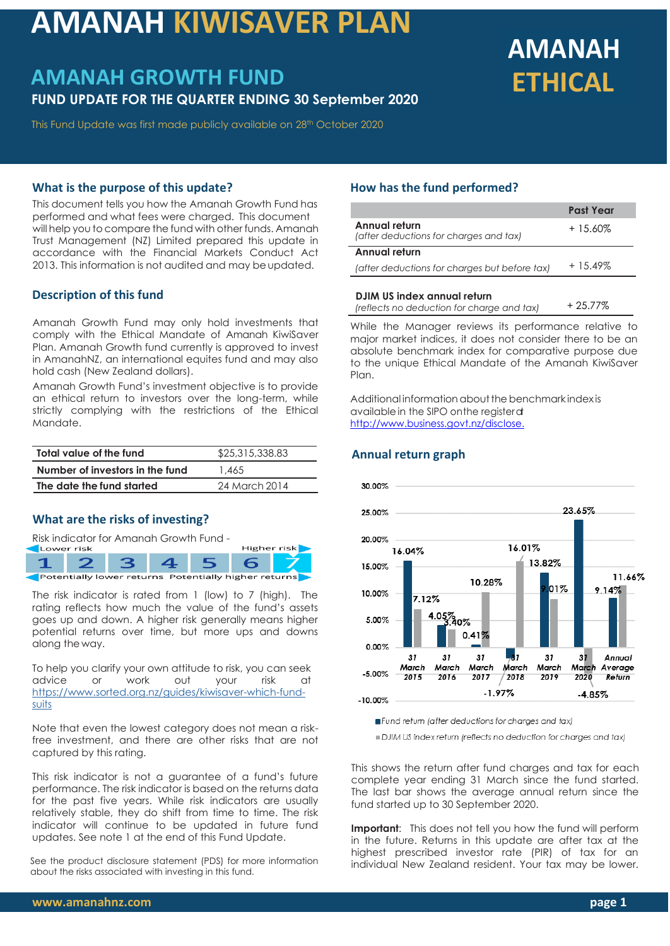# **AMANAH KIWISAVER PLAN**

# **AMANAH GROWTH FUND FUND UPDATE FOR THE QUARTER ENDING 30 September 2020**

#### This Fund Update was first made publicly available on 28th October 2020

# **AMANAH ETHICAL**

#### **What is the purpose of this update?**

This document tells you how the Amanah Growth Fund has performed and what fees were charged. This document will help you to compare the fund with other funds. Amanah Trust Management (NZ) Limited prepared this update in accordance with the Financial Markets Conduct Act 2013. This information is not audited and may be updated.

# **Description of this fund**

Amanah Growth Fund may only hold investments that comply with the Ethical Mandate of Amanah KiwiSaver Plan. Amanah Growth fund currently is approved to invest in AmanahNZ, an international equites fund and may also hold cash (New Zealand dollars).

Amanah Growth Fund's investment objective is to provide an ethical return to investors over the long-term, while strictly complying with the restrictions of the Ethical Mandate.

| Total value of the fund         | \$25,315,338.83 |  |
|---------------------------------|-----------------|--|
| Number of investors in the fund | 1.465           |  |
| The date the fund started       | 24 March 2014   |  |

## **What are the risks of investing?**

Risk indicator for Amanah Growth Fund -



The risk indicator is rated from 1 (low) to 7 (high). The rating reflects how much the value of the fund's assets goes up and down. A higher risk generally means higher potential returns over time, but more ups and downs along the way.

To help you clarify your own attitude to risk, you can seek advice or work out your risk at [https://www.s](http://www/)orted.org.nz/guides/kiwisaver-which-fundsuits

Note that even the lowest category does not mean a riskfree investment, and there are other risks that are not captured by this rating.

This risk indicator is not a guarantee of a fund's future performance. The risk indicator is based on the returns data for the past five years. While risk indicators are usually relatively stable, they do shift from time to time. The risk indicator will continue to be updated in future fund updates. See note 1 at the end of this Fund Update.

See the product disclosure statement (PDS) for more information about the risks associated with investing in this fund.

# **How has the fund performed?**

|                                                         | <b>Past Year</b> |
|---------------------------------------------------------|------------------|
| Annual return<br>(after deductions for charges and tax) | $+15.60%$        |
| Annual return                                           |                  |
| (after deductions for charges but before tax)           | $+15.49\%$       |
|                                                         |                  |

#### **DJIM US index annual return**

| (reflects no deduction for charge and tax) | + 25.77% |
|--------------------------------------------|----------|
|                                            |          |

While the Manager reviews its performance relative to major market indices, it does not consider there to be an absolute benchmark index for comparative purpose due to the unique Ethical Mandate of the Amanah KiwiSaver Plan.

Additional information about the benchmark index is availablein the SIPO onthe registerat [http://www.business.govt.nz/disclose.](http://www.business.govt.nz/disclose)

# **Annual return graph**



Fund retum (after deductions for charges and tax)

DJIM US index return (reflects no deduction for charges and tax)

This shows the return after fund charges and tax for each complete year ending 31 March since the fund started. The last bar shows the average annual return since the fund started up to 30 September 2020.

**Important:** This does not tell you how the fund will perform in the future. Returns in this update are after tax at the highest prescribed investor rate (PIR) of tax for an individual New Zealand resident. Your tax may be lower.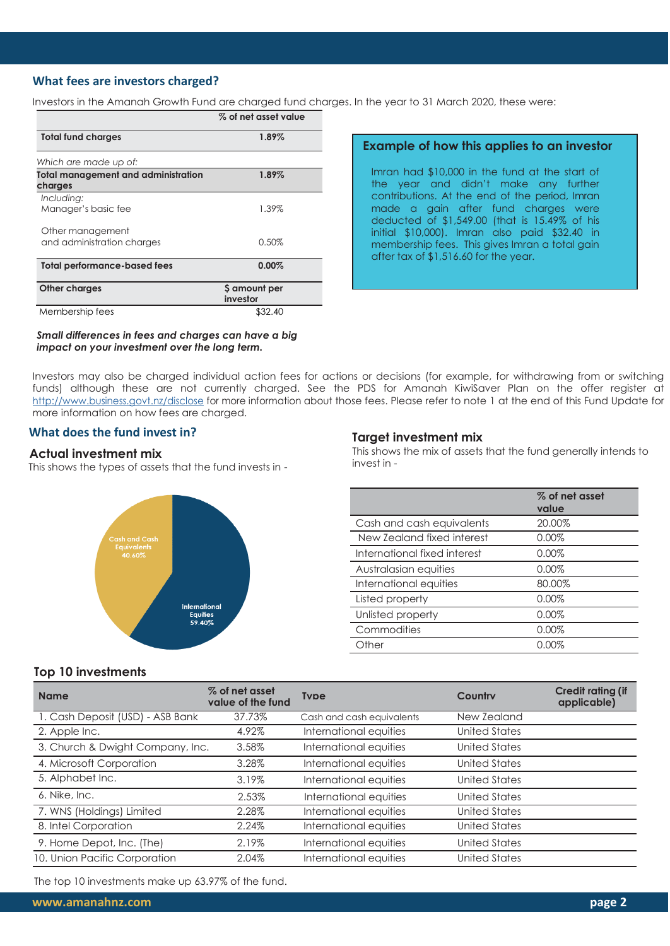# **What fees are investors charged?**

Investors in the Amanah Growth Fund are charged fund charges. In the year to 31 March 2020, these were:

|                                                       | % of net asset value      |
|-------------------------------------------------------|---------------------------|
| <b>Total fund charges</b>                             | 1.89%                     |
| Which are made up of:                                 |                           |
| <b>Total management and administration</b><br>charges | 1.89%                     |
| Including:<br>Manager's basic fee                     | 1.39%                     |
| Other management<br>and administration charges        | 0.50%                     |
| <b>Total performance-based fees</b>                   | 0.00%                     |
| Other charges                                         | \$ amount per<br>investor |
| Membership fees                                       | \$32.40                   |

#### *Small differences in fees and charges can have a big impact on your investment over the long term.*

# **Example of how this applies to an investor**

Imran had \$10,000 in the fund at the start of the year and didn't make any further contributions. At the end of the period, Imran made a gain after fund charges were deducted of \$1,549.00 (that is 15.49% of his initial \$10,000). Imran also paid \$32.40 in membership fees. This gives Imran a total gain after tax of \$1,516.60 for the year.

Investors may also be charged individual action fees for actions or decisions (for example, for withdrawing from or switching funds) although these are not currently charged. See the PDS for Amanah KiwiSaver Plan on the offer register at <http://www.business.govt.nz/disclose> for more information about those fees. Please refer to note 1 at the end of this Fund Update for more information on how fees are charged.

## **What does the fund invest in?**

#### **Actual investment mix**

This shows the types of assets that the fund invests in -



#### **Target investment mix**

This shows the mix of assets that the fund generally intends to invest in -

|                              | % of net asset<br>value |
|------------------------------|-------------------------|
| Cash and cash equivalents    | 20.00%                  |
| New Zealand fixed interest   | 0.00%                   |
| International fixed interest | 0.00%                   |
| Australasian equities        | 0.00%                   |
| International equities       | 80.00%                  |
| Listed property              | 0.00%                   |
| Unlisted property            | 0.00%                   |
| Commodities                  | 0.00%                   |
| Other                        | 0.00%                   |

## **Top 10 investments**

| <b>Name</b>                      | % of net asset<br>value of the fund | <b>Tyne</b>               | Country              | <b>Credit rating (if</b><br>applicable) |
|----------------------------------|-------------------------------------|---------------------------|----------------------|-----------------------------------------|
| 1. Cash Deposit (USD) - ASB Bank | 37.73%                              | Cash and cash equivalents | New Zealand          |                                         |
| 2. Apple Inc.                    | 4.92%                               | International equities    | <b>United States</b> |                                         |
| 3. Church & Dwight Company, Inc. | 3.58%                               | International equities    | <b>United States</b> |                                         |
| 4. Microsoft Corporation         | 3.28%                               | International equities    | <b>United States</b> |                                         |
| 5. Alphabet Inc.                 | 3.19%                               | International equities    | <b>United States</b> |                                         |
| 6. Nike, Inc.                    | 2.53%                               | International equities    | United States        |                                         |
| 7. WNS (Holdings) Limited        | 2.28%                               | International equities    | <b>United States</b> |                                         |
| 8. Intel Corporation             | 2.24%                               | International equities    | <b>United States</b> |                                         |
| 9. Home Depot, Inc. (The)        | 2.19%                               | International equities    | <b>United States</b> |                                         |
| 10. Union Pacific Corporation    | 2.04%                               | International equities    | <b>United States</b> |                                         |

The top 10 investments make up 63.97% of the fund.